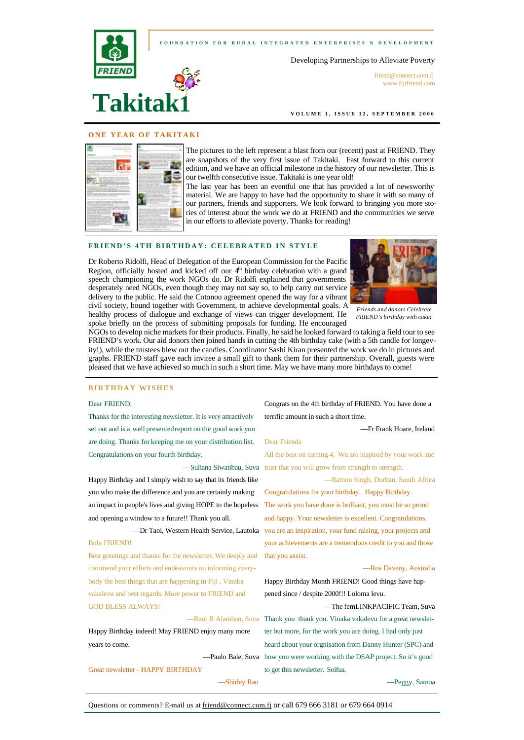

**VOLUME 1, ISSUE 12, SEPTEMBER 2006** 

## **ONE YEAR OF TAKITAKI**

|                                                                                                                                                                                                                                                              | $-100$<br>and the street of Chrysler Corp. They<br>I concert such as I will be the control of the set of the first term<br>the policies of a company's part and the state and                                                                                                                                                                      |
|--------------------------------------------------------------------------------------------------------------------------------------------------------------------------------------------------------------------------------------------------------------|----------------------------------------------------------------------------------------------------------------------------------------------------------------------------------------------------------------------------------------------------------------------------------------------------------------------------------------------------|
| the country and control of the country<br>ALLAN ALTER HART START                                                                                                                                                                                             | and distributions and continue of a couple of the field<br>between the anti-security constraints and<br>and the court data down factor.<br>the company wide and do win-<br>the color of a different detailed and<br>part is can deliver by reliable<br>the property state of the factory                                                           |
| many process their problems are<br>to the writer delice play at which contrades<br>CONTRACTOR AND A CONTRACT<br>and all states                                                                                                                               | --<br>the transport of the state of the Con-                                                                                                                                                                                                                                                                                                       |
| and complex to the track and the complete<br>Mr. KAD ANG CANANAN AN ANG IL<br>and control of the column in                                                                                                                                                   | __________<br>ally delivered at the personal entropy<br>before and the sales decreased advanced that<br>and more record that will consider the<br>by and will will be fitted and in party 1. An                                                                                                                                                    |
| A X X YOR FOR \$10 BEFORE<br><b>CONTRACTOR</b><br>the figure and the description and<br>and the risk rate charts<br><b>START AND A START START AND A START</b>                                                                                               | single work has been about the<br>$-$<br>town and all to CPA, severe as other at the<br>-<br><b>TENSIEN WAS STARTING OF</b><br>and the publication are a product that<br>to be contact copyright designed by both chart in a<br><br>the top the collection and constraints about the date.                                                         |
| the well developed to the form to address on the second control and<br>and control and control and<br><b>CARLING &amp; CONSULTANT</b>                                                                                                                        | -<br>woman has a short a first that<br>$\sim$<br>Constitution and changes and constitution<br>between the company's and company's<br>to a new car different statement and<br>the party is a characterized and controlled and the<br>as in grappoints in declared to convenie                                                                       |
| EVANS AND HOLD WAS CITED AT THE CASE OF THE<br>and in law 1-8,400 had not be the logo and will worked a final which di-<br>and shares of share and it we will envi-<br>and at comparative that the contract the factor and<br>and its baskets of the disper- | the follows count to the call the descrip-                                                                                                                                                                                                                                                                                                         |
| <b>M. CALIFORNIA MARCHERS</b><br>three announcements with the depth dealer."<br>FOR 246 MULLED EXHIBITION<br>allowing a decide color                                                                                                                         | The Processing Party Inc. Proc.<br>School of This and Administration<br>the first dealer with the pro-<br>with the product to the top of the first                                                                                                                                                                                                 |
| and it is a complete that the con-<br>provided the present<br>and are thinking.<br>and a detect victiming strate to the                                                                                                                                      | and a state dealer computer the company of<br>developed the company's silver and contact such as a<br>and the form of the company of the company of the com-<br>design the distance and company and contact the series of<br>are the market of the world days the same special and the days<br>the statement is charged to a control and the state |
| and realized the continuum development of the<br>the dealership and                                                                                                                                                                                          | and several characteristics and in an announcement costs and out in an<br>and consider the constitution are the department of the second<br>__                                                                                                                                                                                                     |

The pictures to the left represent a blast from our (recent) past at FRIEND. They are snapshots of the very first issue of Takitaki. Fast forward to this current edition, and we have an official milestone in the history of our newsletter. This is our twelfth consecutive issue. Takitaki is one year old!

The last year has been an eventful one that has provided a lot of newsworthy material. We are happy to have had the opportunity to share it with so many of our partners, friends and supporters. We look forward to bringing you more stories of interest about the work we do at FRIEND and the communities we serve in our efforts to alleviate poverty. Thanks for reading!

# **FRIEND'S 4TH BIRTHDAY: CELEBRATED IN STYLE**

Dr Roberto Ridolfi, Head of Delegation of the European Commission for the Pacific Region, officially hosted and kicked off our  $4<sup>th</sup>$  birthday celebration with a grand speech championing the work NGOs do. Dr Ridolfi explained that governments desperately need NGOs, even though they may not say so, to help carry out service delivery to the public. He said the Cotonou agreement opened the way for a vibrant civil society, bound together with Government, to achieve developmental goals. A healthy process of dialogue and exchange of views can trigger development. He spoke briefly on the process of submitting proposals for funding. He encouraged



*Friends and donors Celebrate FRIEND's birthday with cake!*

NGOs to develop niche markets for their products. Finally, he said he looked forward to taking a field tour to see FRIEND's work. Our aid donors then joined hands in cutting the 4th birthday cake (with a 5th candle for longevity!), while the trustees blew out the candles. Coordinator Sashi Kiran presented the work we do in pictures and graphs. FRIEND staff gave each invitee a small gift to thank them for their partnership. Overall, guests were pleased that we have achieved so much in such a short time. May we have many more birthdays to come!

## **BIRTHDAY WISHES**

## Dear FRIEND,

Thanks for the interesting newsletter. It is very attractively set out and is a well presentedreport on the good work you are doing. Thanks for keeping me on your distribution list. Congratulations on your fourth birthday.

Happy Birthday and I simply wish to say that its friends like you who make the difference and you are certainly making an impact in people's lives and giving HOPE to the hopeless and opening a window to a future!! Thank you all.

# Bula FRIEND!

Best greetings and thanks for the newsletter. We deeply and that you assist. commend your efforts and endeavours on informing everybody the best things that are happening in Fiji . Vinaka vakalevu and best regards. More power to FRIEND and GOD BLESS ALWAYS!

Happy Birthday indeed! May FRIEND enjoy many more years to come.

Great newsletter - HAPPY BIRTHDAY

—Shirley Rao

Congrats on the 4th birthday of FRIEND. You have done a terrific amount in such a short time.

## —Fr Frank Hoare, Ireland

## Dear Friends

—Suliana Siwatibau, Suva trust that you will grow from strength to strength. All the best on turning 4. We are inspired by your work and

—Ramon Singh, Durban, South Africa

—Dr Taoi, Western Health Service, Lautoka you are an inspiration, your fund raising, your projects and Congratulations for your birthday. Happy Birthday. The work you have done is brilliant, you must be so proud and happy. Your newsletter is excellent. Congratulations, your achievements are a tremendous credit to you and those

### —Ros Daveny, Australia

Happy Birthday Month FRIEND! Good things have happened since / despite 2000!!! Loloma levu.

—Raul B Alamban, Suva Thank you thank you. Vinaka vakalevu for a great newslet-—Paulo Bale, Suva how you were working with the DSAP project. So it's good —The femLINKPACIFIC Team, Suva ter but more, for the work you are doing. I had only just heard about your orgnisation from Danny Hunter (SPC) and to get this newsletter. Soifua.

—Peggy, Samoa

Questions or comments? E-mail us at friend@connect.com.fi or call 679 666 3181 or 679 664 0914